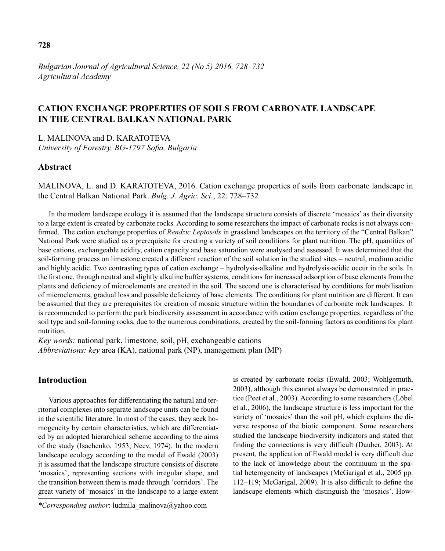*Bulgarian Journal of Agricultural Science, 22 (No 5) 2016, 728–732 Agricultural Academy*

# **CATION EXCHANGE PROPERTIES OF SOILS FROM CARBONATE LANDSCAPE IN THE CENTRAL BALKAN NATIONAL PARK**

L. MALINOVA and D. KARATOTEVA

*University of Forestry, BG-1797 Sofia, Bulgaria* 

## **Abstract**

MALINOVA, L. and D. KARATOTEVA, 2016. Cation exchange properties of soils from carbonate landscape in the Central Balkan National Park. *Bulg. J. Agric. Sci.*, 22: 728–732

In the modern landscape ecology it is assumed that the landscape structure consists of discrete 'mosaics' as their diversity to a large extent is created by carbonate rocks. According to some researchers the impact of carbonate rocks is not always confirmed. The cation exchange properties of *Rendzic Leptosols* in grassland landscapes on the territory of the "Central Balkan" National Park were studied as a prerequisite for creating a variety of soil conditions for plant nutrition. The pH, quantities of base cations, exchangeable acidity, cation capacity and base saturation were analysed and assessed. It was determined that the soil-forming process on limestone created a different reaction of the soil solution in the studied sites – neutral, medium acidic and highly acidic. Two contrasting types of cation exchange – hydrolysis-alkaline and hydrolysis-acidic occur in the soils. In the first one, through neutral and slightly alkaline buffer systems, conditions for increased adsorption of base elements from the plants and deficiency of microelements are created in the soil. The second one is characterised by conditions for mobilisation of microelements, gradual loss and possible deficiency of base elements. The conditions for plant nutrition are different. It can be assumed that they are prerequisites for creation of mosaic structure within the boundaries of carbonate rock landscapes. It is recommended to perform the park biodiversity assessment in accordance with cation exchange properties, regardless of the soil type and soil-forming rocks, due to the numerous combinations, created by the soil-forming factors as conditions for plant nutrition.

*Key words:* national park, limestone, soil, pH, exchangeable cations *Abbreviations: key* area (KA), national park (NP), management plan (MP)

# **Introduction**

Various approaches for differentiating the natural and territorial complexes into separate landscape units can be found in the scientific literature. In most of the cases, they seek homogeneity by certain characteristics, which are differentiated by an adopted hierarchical scheme according to the aims of the study (Isachenko, 1953; Neev, 1974). In the modern landscape ecology according to the model of Ewald (2003) it is assumed that the landscape structure consists of discrete 'mosaics', representing sections with irregular shape, and the transition between them is made through 'corridors'. The great variety of 'mosaics' in the landscape to a large extent is created by carbonate rocks (Ewаld, 2003; Wohlgemuth, 2003), although this cannot always be demonstrated in practice (Peet et al., 2003). According to some researchers (Löbel et al., 2006), the landscape structure is less important for the variety of 'mosaics' than the soil pH, which explains the diverse response of the biotic component. Some researchers studied the landscape biodiversity indicators and stated that finding the connections is very difficult (Dauber, 2003). At present, the application of Ewald model is very difficult due to the lack of knowledge about the continuum in the spatial heterogeneity of landscapes (McGarigal et al., 2005 pp.  $112-119$ ; McGarigal, 2009). It is also difficult to define the landscape elements which distinguish the 'mosaics'. How-

*<sup>\*</sup>Corresponding author*: ludmila\_malinova@yahoo.com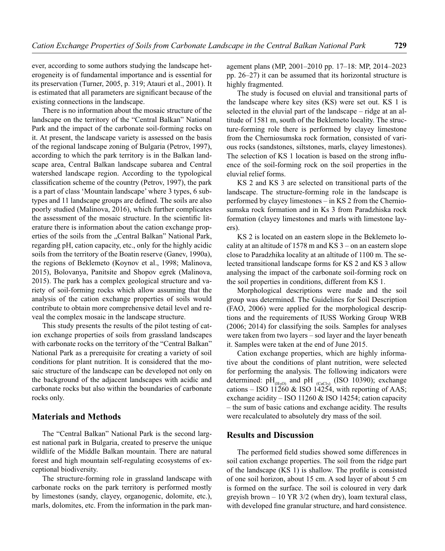ever, according to some authors studying the landscape heterogeneity is of fundamental importance and is essential for its preservation (Turner, 2005, p. 319; Atauri et al., 2001). It is estimated that all parameters are significant because of the existing connections in the landscape.

There is no information about the mosaic structure of the landscape on the territory of the "Central Balkan" National Park and the impact of the carbonate soil-forming rocks on it. At present, the landscape variety is assessed on the basis of the regional landscape zoning of Bulgaria (Petrov, 1997), according to which the park territory is in the Balkan landscape area, Central Balkan landscape subarea and Central watershed landscape region. According to the typological classification scheme of the country (Petrov, 1997), the park is a part of class 'Mountain landscape' where 3 types, 6 subtypes and 11 landscape groups are defined. The soils are also poorly studied (Malinova, 2016), which further complicates the assessment of the mosaic structure. In the scientific literature there is information about the cation exchange properties of the soils from the "Central Balkan" National Park, regarding pH, cation capacity, etc., only for the highly acidic soils from the territory of the Boatin reserve (Ganev, 1990а), the regions of Beklemeto (Koynov et al., 1998; Malinova, 2015), Bolovanya, Panitsite and Shopov egrek (Malinova, 2015). The park has a complex geological structure and variety of soil-forming rocks which allow assuming that the analysis of the cation exchange properties of soils would contribute to obtain more comprehensive detail level and reveal the complex mosaic in the landscape structure.

This study presents the results of the pilot testing of cation exchange properties of soils from grassland landscapes with carbonate rocks on the territory of the "Central Balkan" National Park as a prerequisite for creating a variety of soil conditions for plant nutrition. It is considered that the mosaic structure of the landscape can be developed not only on the background of the adjacent landscapes with acidic and carbonate rocks but also within the boundaries of carbonate rocks only.

#### **Materials and Methods**

The "Central Balkan" National Park is the second largest national park in Bulgaria, created to preserve the unique wildlife of the Middle Balkan mountain. There are natural forest and high mountain self-regulating ecosystems of exceptional biodiversity.

The structure-forming role in grassland landscape with carbonate rocks on the park territory is performed mostly by limestones (sandy, clayey, organogenic, dolomite, etc.), marls, dolomites, etc. From the information in the park management plans (MP, 2001–2010 pp. 17–18: MP, 2014–2023 pp. 26–27) it can be assumed that its horizontal structure is highly fragmented.

The study is focused on eluvial and transitional parts of the landscape where key sites (KS) were set out. KS 1 is selected in the eluvial part of the landscape – ridge at an altitude of 1581 m, south of the Beklemeto locality. The structure-forming role there is performed by clayey limestone from the Cherniosumska rock formation, consisted of various rocks (sandstones, siltstones, marls, clayey limestones). The selection of KS 1 location is based on the strong influence of the soil-forming rock on the soil properties in the eluvial relief forms.

KS 2 and KS 3 are selected on transitional parts of the landscape. The structure-forming role in the landscape is performed by clayey limestones – in KS 2 from the Cherniosumska rock formation and in Ks 3 from Paradzhiska rock formation (clayey limestones and marls with limestone layers).

KS 2 is located on an eastern slope in the Beklemeto locality at an altitude of  $1578$  m and KS 3 – on an eastern slope close to Paradzhika locality at an altitude of 1100 m. The selected transitional landscape forms for KS 2 and KS 3 allow analysing the impact of the carbonate soil-forming rock on the soil properties in conditions, different from KS 1.

Morphological descriptions were made and the soil group was determined. The Guidelines for Soil Description (FAO, 2006) were applied for the morphological descriptions and the requirements of IUSS Working Group WRB (2006; 2014) for classifying the soils. Samples for analyses were taken from two layers – sod layer and the layer beneath it. Samples were taken at the end of June 2015.

Cation exchange properties, which are highly informative about the conditions of plant nutrition, were selected for performing the analysis. The following indicators were determined:  $pH_{(H_2O)}$  and  $pH_{(Cac)}$  (ISO 10390); exchange cations – ISO 11260  $\&$  ISO 14254, with reporting of AAS; exchange acidity – ISO 11260 & ISO 14254; cation capacity – the sum of basic cations and exchange acidity. The results were recalculated to absolutely dry mass of the soil.

### **Results and Discussion**

The performed field studies showed some differences in soil cation exchange properties. The soil from the ridge part of the landscape  $(KS<sub>1</sub>)$  is shallow. The profile is consisted of one soil horizon, about 15 cm. A sod layer of about 5 cm is formed on the surface. The soil is coloured in very dark greyish brown  $-10$  YR 3/2 (when dry), loam textural class. with developed fine granular structure, and hard consistence.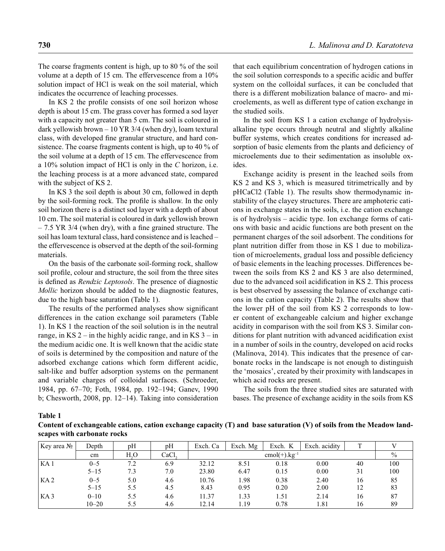The coarse fragments content is high, up to 80 % of the soil volume at a depth of 15 cm. The effervescence from a 10% solution impact of HCl is weak on the soil material, which indicates the occurrence of leaching processes.

In KS 2 the profile consists of one soil horizon whose depth is about 15 cm. The grass cover has formed a sod layer with a capacity not greater than 5 cm. The soil is coloured in dark yellowish brown – 10 YR 3/4 (when dry), loam textural class, with developed fine granular structure, and hard consistence. The coarse fragments content is high, up to 40 % of the soil volume at a depth of 15 cm. The effervescence from a 10% solution impact of HCl is only in the *C* horizon, i.e. the leaching process is at a more advanced state, compared with the subject of KS 2.

In KS 3 the soil depth is about 30 cm, followed in depth by the soil-forming rock. The profile is shallow. In the only soil horizon there is a distinct sod layer with a depth of about 10 cm. The soil material is coloured in dark yellowish brown  $-7.5$  YR 3/4 (when dry), with a fine grained structure. The soil has loam textural class, hard consistence and is leached – the effervescence is observed at the depth of the soil-forming materials.

On the basis of the carbonate soil-forming rock, shallow soil profile, colour and structure, the soil from the three sites is defined as *Rendzic Leptosols*. The presence of diagnostic *Mollic* horizon should be added to the diagnostic features, due to the high base saturation (Table 1).

The results of the performed analyses show significant differences in the cation exchange soil parameters (Table 1). In KS 1 the reaction of the soil solution is in the neutral range, in  $KS$  2 – in the highly acidic range, and in  $KS$  3 – in the medium acidic one. It is well known that the acidic state of soils is determined by the composition and nature of the adsorbed exchange cations which form different acidic, salt-like and buffer adsorption systems on the permanent and variable charges of colloidal surfaces. (Schroeder, 1984, pp. 67–70; Foth, 1984, pp. 192–194; Ganev, 1990 b; Chesworth, 2008, pp. 12–14). Taking into consideration

that each equilibrium concentration of hydrogen cations in the soil solution corresponds to a specific acidic and buffer system on the colloidal surfaces, it can be concluded that there is a different mobilization balance of macro- and microelements, as well as different type of cation exchange in the studied soils.

In the soil from KS 1 a cation exchange of hydrolysisalkaline type occurs through neutral and slightly alkaline buffer systems, which creates conditions for increased adsorption of basic elements from the plants and deficiency of microelements due to their sedimentation as insoluble oxides.

Exchange acidity is present in the leached soils from KS 2 and KS 3, which is measured titrimetrically and by рНCaCl2 (Table 1). The results show thermodynamic instability of the clayey structures. There are amphoteric cations in exchange states in the soils, i.e. the cation exchange is of hydrolysis – acidic type. Ion exchange forms of cations with basic and acidic functions are both present on the permanent charges of the soil adsorbent. The conditions for plant nutrition differ from those in KS 1 due to mobilization of microelements, gradual loss and possible deficiency of basic elements in the leaching processes. Differences between the soils from KS 2 and KS 3 are also determined, due to the advanced soil acidification in KS 2. This process is best observed by assessing the balance of exchange cations in the cation capacity (Table 2). The results show that the lower pH of the soil from KS 2 corresponds to lower content of exchangeable calcium and higher exchange acidity in comparison with the soil from KS 3. Similar conditions for plant nutrition with advanced acidification exist in a number of soils in the country, developed on acid rocks (Malinova, 2014). This indicates that the presence of carbonate rocks in the landscape is not enough to distinguish the 'mosaics', created by their proximity with landscapes in which acid rocks are present.

The soils from the three studied sites are saturated with bases. The presence of exchange acidity in the soils from KS

**Table 1**

**Content of exchangeable cations, cation exchange capacity (T) and base saturation (V) of soils from the Meadow landscapes with carbonate rocks** 

| Key area No     | Depth     | pH  | pH   | Exch. Ca              | Exch. Mg | Exch. K | Exch. acidity | m  |      |
|-----------------|-----------|-----|------|-----------------------|----------|---------|---------------|----|------|
|                 | cm        | H.O | CaCl | $cmol(+)$ . $kg^{-1}$ |          |         |               |    | $\%$ |
| KA 1            | $0 - 5$   | 7.2 | 6.9  | 32.12                 | 8.51     | 0.18    | 0.00          | 40 | 100  |
|                 | $5 - 15$  | 7.3 | 7.0  | 23.80                 | 6.47     | 0.15    | 0.00          | 31 | 100  |
| KA <sub>2</sub> | $0 - 5$   | 5.0 | 4.6  | 10.76                 | 1.98     | 0.38    | 2.40          | 16 | 85   |
|                 | $5 - 15$  | 5.5 | 4.5  | 8.43                  | 0.95     | 0.20    | 2.00          | 12 | 83   |
| KA3             | $0 - 10$  | 5.5 | 4.6  | 11.37                 | 1.33     | 1.51    | 2.14          | 16 |      |
|                 | $10 - 20$ | 5.5 | 4.6  | 12.14                 | 1.19     | 0.78    | 1.81          | 16 | 89   |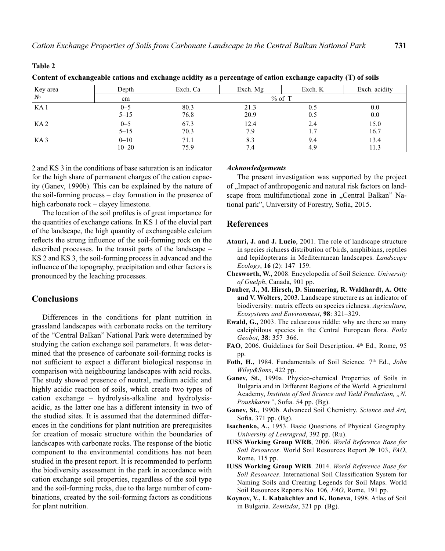#### **Table 2**

**Content of exchangeable cations and exchange acidity as a percentage of cation exchange capacity (T) of soils**

| Key area        | Depth     | Exch. Ca<br>Exch. Mg |      | Exch. K | Exch. acidity |  |  |
|-----------------|-----------|----------------------|------|---------|---------------|--|--|
| $N_2$           | cm        | $%$ of T             |      |         |               |  |  |
| KA <sub>1</sub> | $0 - 5$   | 80.3                 | 21.3 | 0.5     | 0.0           |  |  |
|                 | $5 - 15$  | 76.8                 | 20.9 | 0.5     | 0.0           |  |  |
| KA <sub>2</sub> | $0 - 5$   | 67.3                 | 12.4 | 2.4     | 15.0          |  |  |
|                 | $5 - 15$  | 70.3                 | 7.9  | 1.7     | 16.7          |  |  |
| KA <sub>3</sub> | $0 - 10$  | 71.1                 | 8.3  | 9.4     | 13.4          |  |  |
|                 | $10 - 20$ | 75.9                 | 7.4  | 4.9     | 11.3          |  |  |

2 and KS 3 in the conditions of base saturation is an indicator for the high share of permanent charges of the cation capacity (Ganev, 1990b). This can be explained by the nature of the soil-forming process – clay formation in the presence of high carbonate rock – clayey limestone.

The location of the soil profiles is of great importance for the quantities of exchange cations. In KS 1 of the eluvial part of the landscape, the high quantity of exchangeable calcium reflects the strong influence of the soil-forming rock on the described processes. In the transit parts of the landscape – KS 2 and KS 3, the soil-forming process in advanced and the influence of the topography, precipitation and other factors is pronounced by the leaching processes.

# **Conclusions**

Differences in the conditions for plant nutrition in grassland landscapes with carbonate rocks on the territory of the "Central Balkan" National Park were determined by studying the cation exchange soil parameters. It was determined that the presence of carbonate soil-forming rocks is not sufficient to expect a different biological response in comparison with neighbouring landscapes with acid rocks. The study showed presence of neutral, medium acidic and highly acidic reaction of soils, which create two types of cation exchange – hydrolysis-alkaline and hydrolysisacidic, as the latter one has a different intensity in two of the studied sites. It is assumed that the determined differences in the conditions for plant nutrition are prerequisites for creation of mosaic structure within the boundaries of landscapes with carbonate rocks. The response of the biotic component to the environmental conditions has not been studied in the present report. It is recommended to perform the biodiversity assessment in the park in accordance with cation exchange soil properties, regardless of the soil type and the soil-forming rocks, due to the large number of combinations, created by the soil-forming factors as conditions for plant nutrition.

### *Acknowledgements*

The present investigation was supported by the project of "Impact of anthropogenic and natural risk factors on landscape from multifunctional zone in "Central Balkan" National park", University of Forestry, Sofia, 2015.

### **References**

- **Atauri, J. and J. Lucio**, 2001. The role of landscape structure in species richness distribution of birds, amphibians, reptiles and lepidopterans in Mediterranean landscapes. *Landscape Ecology*, **16** (2): 147–159.
- **Chesworth, W.,** 2008. Encyclopedia of Soil Science. *University of Guelph*, Canada, 901 pp.
- **Dauber, J., M. Hirsch, D. Simmering, R. Waldhardt, A. Otte and V. Wolters**, 2003. Landscape structure as an indicator of biodiversity: matrix effects on species richness. *Agriculture, Ecosystems and Environment*, **98**: 321–329.
- **Еwald, G.,** 2003. The calcareous riddle: why are there so many calciphilous species in the Central European flora. *Foila Geobot*, **38**: 357–366.
- FAO, 2006. Guidelines for Soil Description. 4<sup>th</sup> Ed., Rome, 95 pp.
- Foth, H., 1984. Fundamentals of Soil Science. 7<sup>th</sup> Ed., *John Wiley&Sons*, 422 pp.
- **Ganev, St.**, 1990а. Physico-chemical Properties of Soils in Bulgaria and in Different Regions of the World. Agricultural Academy, *Institute of Soil Science and Yield Prediction, "N.*  Poushkarov", Sofia. 54 pp. (Bg).
- **Ganev, St.**, 1990b. Advanced Soil Chemistry. *Science and Art,* Sofia.  $371$  pp.  $(Bg)$ .
- **Isachenko, A.,** 1953. Basic Questions of Physical Geography. *University of Lenrngrad*, 392 pp. (Ru).
- **IUSS Working Group WRB**, 2006. *World Reference Base for Soil Resources*. World Soil Resources Report № 103, *FAO*, Rome, 115 pp.
- **IUSS Working Group WRB**. 2014. *World Reference Base for*  Soil Resources. International Soil Classification System for Naming Soils and Creating Legends for Soil Maps. World Soil Resources Reports No. 106*, FAO*, Rome, 191 pp.
- **Koynov, V., I. Kabakchiev and K. Boneva**, 1998. Atlas of Soil in Bulgaria. *Zemizdat*, 321 pp. (Bg).